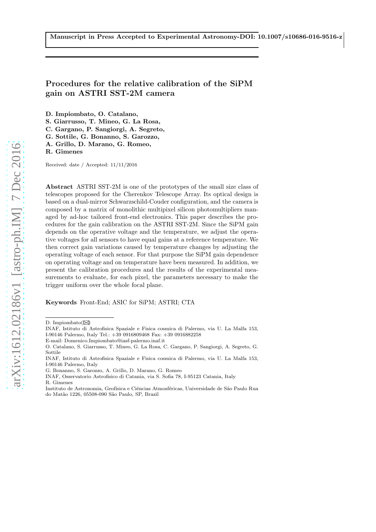# Procedures for the relative calibration of the SiPM gain on ASTRI SST-2M camera

D. Impiombato, O. Catalano,

S. Giarrusso, T. Mineo, G. La Rosa,

C. Gargano, P. Sangiorgi, A. Segreto,

G. Sottile, G. Bonanno, S. Garozzo,

A. Grillo, D. Marano, G. Romeo,

R. Gimenes

Received: date / Accepted: 11/11/2016

Abstract ASTRI SST-2M is one of the prototypes of the small size class of telescopes proposed for the Cherenkov Telescope Array. Its optical design is based on a dual-mirror Schwarzschild-Couder configuration, and the camera is composed by a matrix of monolithic multipixel silicon photomultipliers managed by ad-hoc tailored front-end electronics. This paper describes the procedures for the gain calibration on the ASTRI SST-2M. Since the SiPM gain depends on the operative voltage and the temperature, we adjust the operative voltages for all sensors to have equal gains at a reference temperature. We then correct gain variations caused by temperature changes by adjusting the operating voltage of each sensor. For that purpose the SiPM gain dependence on operating voltage and on temperature have been measured. In addition, we present the calibration procedures and the results of the experimental measurements to evaluate, for each pixel, the parameters necessary to make the trigger uniform over the whole focal plane.

Keywords Front-End; ASIC for SiPM; ASTRI; CTA

INAF, Osservatorio Astrofisico di Catania, via S. Sofia 78, I-95123 Catania, Italy

R. Gimenes

Instituto de Astronomia, Geofísica e Ciências Atmosféricas, Universidade de São Paulo Rua do Mat˜ao 1226, 05508-090 S˜ao Paulo, SP, Brazil

D. Impiombato $(\boxtimes)$ 

INAF, Istituto di Astrofisica Spaziale e Fisica cosmica di Palermo, via U. La Malfa 153, I-90146 Palermo, Italy Tel.: +39 0916809468 Fax: +39 0916882258

E-mail: Domenico.Impiombato@iasf-palermo.inaf.it

O. Catalano, S. Giarrusso, T. Mineo, G. La Rosa, C. Gargano, P. Sangiorgi, A. Segreto, G. Sottile

INAF, Istituto di Astrofisica Spaziale e Fisica cosmica di Palermo, via U. La Malfa 153, I-90146 Palermo, Italy

G. Bonanno, S. Garozzo, A. Grillo, D. Marano, G. Romeo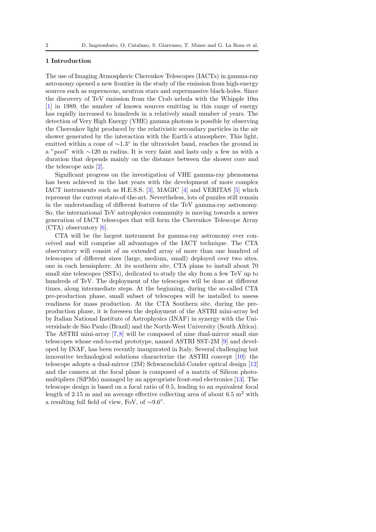## 1 Introduction

The use of Imaging Atmospheric Cherenkov Telescopes (IACTs) in gamma-ray astronomy opened a new frontier in the study of the emission from high-energy sources such as supernovae, neutron stars and supermassive black-holes. Since the discovery of TeV emission from the Crab nebula with the Whipple 10m [\[1\]](#page-18-0) in 1989, the number of known sources emitting in this range of energy has rapidly increased to hundreds in a relatively small number of years. The detection of Very High Energy (VHE) gamma photons is possible by observing the Cherenkov light produced by the relativistic secondary particles in the air shower generated by the interaction with the Earth's atmosphere. This light, emitted within a cone of ∼1.3◦ in the ultraviolet band, reaches the ground in a "pool" with ∼120 m radius. It is very faint and lasts only a few ns with a duration that depends mainly on the distance between the shower core and the telescope axis [\[2\]](#page-18-1).

Significant progress on the investigation of VHE gamma-ray phenomena has been achieved in the last years with the development of more complex IACT instruments such as H.E.S.S. [\[3\]](#page-18-2), MAGIC [\[4\]](#page-18-3) and VERITAS [\[5\]](#page-18-4) which represent the current state-of-the-art. Nevertheless, lots of puzzles still remain in the understanding of different features of the TeV gamma-ray astronomy. So, the international TeV astrophysics community is moving towards a newer generation of IACT telescopes that will form the Cherenkov Telescope Array  $(CTA)$  observatory [\[6\]](#page-18-5).

CTA will be the largest instrument for gamma-ray astronomy ever conceived and will comprise all advantages of the IACT technique. The CTA observatory will consist of an extended array of more than one hundred of telescopes of different sizes (large, medium, small) deployed over two sites, one in each hemisphere. At its southern site, CTA plans to install about 70 small size telescopes (SSTs), dedicated to study the sky from a few TeV up to hundreds of TeV. The deployment of the telescopes will be done at different times, along intermediate steps. At the beginning, during the so-called CTA pre-production phase, small subset of telescopes will be installed to assess readiness for mass production. At the CTA Southern site, during the preproduction phase, it is foreseen the deployment of the ASTRI mini-array led by Italian National Institute of Astrophysics (INAF) in synergy with the Universidade de S˜ao Paulo (Brazil) and the North-West University (South Africa). The ASTRI mini-array [\[7,](#page-18-6)[8\]](#page-18-7) will be composed of nine dual-mirror small size telescopes whose end-to-end prototype, named ASTRI SST-2M [\[9\]](#page-18-8) and developed by INAF, has been recently inaugurated in Italy. Several challenging but innovative technological solutions characterize the ASTRI concept [\[10\]](#page-18-9): the telescope adopts a dual-mirror (2M) Schwarzschild-Couder optical design [\[12\]](#page-18-10) and the camera at the focal plane is composed of a matrix of Silicon photomultipliers (SiPMs) managed by an appropriate front-end electronics [\[13\]](#page-18-11). The telescope design is based on a focal ratio of 0.5, leading to an equivalent focal length of 2.15 m and an average effective collecting area of about 6.5  $m<sup>2</sup>$  with a resulting full field of view, FoV, of ∼9.6◦ .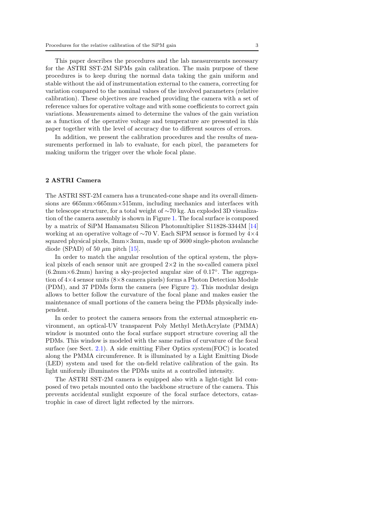This paper describes the procedures and the lab measurements necessary for the ASTRI SST-2M SiPMs gain calibration. The main purpose of these procedures is to keep during the normal data taking the gain uniform and stable without the aid of instrumentation external to the camera, correcting for variation compared to the nominal values of the involved parameters (relative calibration). These objectives are reached providing the camera with a set of reference values for operative voltage and with some coefficients to correct gain variations. Measurements aimed to determine the values of the gain variation as a function of the operative voltage and temperature are presented in this paper together with the level of accuracy due to different sources of errors.

In addition, we present the calibration procedures and the results of measurements performed in lab to evaluate, for each pixel, the parameters for making uniform the trigger over the whole focal plane.

#### <span id="page-2-0"></span>2 ASTRI Camera

The ASTRI SST-2M camera has a truncated-cone shape and its overall dimensions are  $665 \text{mm} \times 665 \text{mm} \times 515 \text{mm}$ , including mechanics and interfaces with the telescope structure, for a total weight of ∼70 kg. An exploded 3D visualization of the camera assembly is shown in Figure [1.](#page-3-0) The focal surface is composed by a matrix of SiPM Hamamatsu Silicon Photomultiplier S11828-3344M [\[14\]](#page-18-12) working at an operative voltage of ∼70 V. Each SiPM sensor is formed by 4×4 squared physical pixels,  $3mm \times 3mm$ , made up of  $3600$  single-photon avalanche diode (SPAD) of 50  $\mu$ m pitch [\[15\]](#page-18-13).

In order to match the angular resolution of the optical system, the physical pixels of each sensor unit are grouped  $2\times 2$  in the so-called camera pixel (6.2mm×6.2mm) having a sky-projected angular size of 0.17◦ . The aggregation of 4×4 sensor units (8×8 camera pixels) forms a Photon Detection Module (PDM), and 37 PDMs form the camera (see Figure [2\)](#page-4-0). This modular design allows to better follow the curvature of the focal plane and makes easier the maintenance of small portions of the camera being the PDMs physically independent.

In order to protect the camera sensors from the external atmospheric environment, an optical-UV transparent Poly Methyl MethAcrylate (PMMA) window is mounted onto the focal surface support structure covering all the PDMs. This window is modeled with the same radius of curvature of the focal surface (see Sect. [2.1\)](#page-3-1). A side emitting Fiber Optics system(FOC) is located along the PMMA circumference. It is illuminated by a Light Emitting Diode (LED) system and used for the on-field relative calibration of the gain. Its light uniformly illuminates the PDMs units at a controlled intensity.

The ASTRI SST-2M camera is equipped also with a light-tight lid composed of two petals mounted onto the backbone structure of the camera. This prevents accidental sunlight exposure of the focal surface detectors, catastrophic in case of direct light reflected by the mirrors.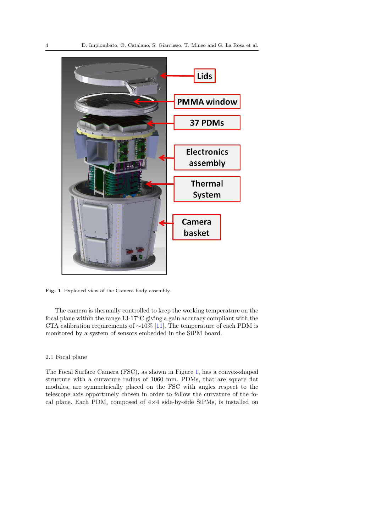

<span id="page-3-0"></span>Fig. 1 Exploded view of the Camera body assembly.

The camera is thermally controlled to keep the working temperature on the focal plane within the range 13-17◦C giving a gain accuracy compliant with the CTA calibration requirements of ∼10% [\[11\]](#page-18-14). The temperature of each PDM is monitored by a system of sensors embedded in the SiPM board.

# <span id="page-3-1"></span>2.1 Focal plane

The Focal Surface Camera (FSC), as shown in Figure [1,](#page-3-0) has a convex-shaped structure with a curvature radius of 1060 mm. PDMs, that are square flat modules, are symmetrically placed on the FSC with angles respect to the telescope axis opportunely chosen in order to follow the curvature of the focal plane. Each PDM, composed of  $4\times4$  side-by-side SiPMs, is installed on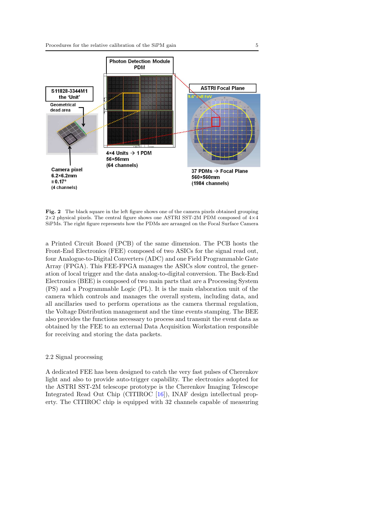

<span id="page-4-0"></span>Fig. 2 The black square in the left figure shows one of the camera pixels obtained grouping 2×2 physical pixels. The central figure shows one ASTRI SST-2M PDM composed of 4×4 SiPMs. The right figure represents how the PDMs are arranged on the Focal Surface Camera

a Printed Circuit Board (PCB) of the same dimension. The PCB hosts the Front-End Electronics (FEE) composed of two ASICs for the signal read out, four Analogue-to-Digital Converters (ADC) and one Field Programmable Gate Array (FPGA). This FEE-FPGA manages the ASICs slow control, the generation of local trigger and the data analog-to-digital conversion. The Back-End Electronics (BEE) is composed of two main parts that are a Processing System (PS) and a Programmable Logic (PL). It is the main elaboration unit of the camera which controls and manages the overall system, including data, and all ancillaries used to perform operations as the camera thermal regulation, the Voltage Distribution management and the time events stamping. The BEE also provides the functions necessary to process and transmit the event data as obtained by the FEE to an external Data Acquisition Workstation responsible for receiving and storing the data packets.

# 2.2 Signal processing

A dedicated FEE has been designed to catch the very fast pulses of Cherenkov light and also to provide auto-trigger capability. The electronics adopted for the ASTRI SST-2M telescope prototype is the Cherenkov Imaging Telescope Integrated Read Out Chip (CITIROC [\[16\]](#page-18-15)), INAF design intellectual property. The CITIROC chip is equipped with 32 channels capable of measuring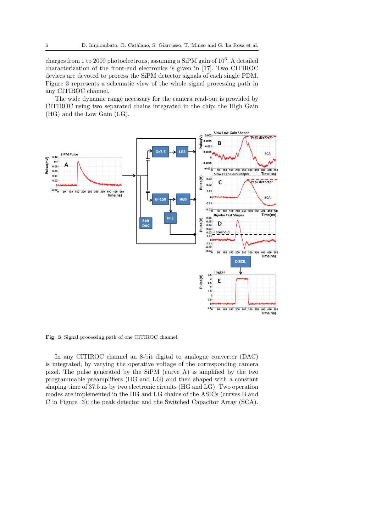charges from 1 to 2000 photoelectrons, assuming a SiPM gain of  $10^6$ . A detailed characterization of the front-end electronics is given in [\[17\]](#page-18-16). Two CITIROC devices are devoted to process the SiPM detector signals of each single PDM. Figure [3](#page-5-0) represents a schematic view of the whole signal processing path in any CITIROC channel.

The wide dynamic range necessary for the camera read-out is provided by CITIROC using two separated chains integrated in the chip: the High Gain (HG) and the Low Gain (LG).



<span id="page-5-0"></span>Fig. 3 Signal processing path of one CITIROC channel.

In any CITIROC channel an 8-bit digital to analogue converter (DAC) is integrated, by varying the operative voltage of the corresponding camera pixel. The pulse generated by the SiPM (curve A) is amplified by the two programmable preamplifiers (HG and LG) and then shaped with a constant shaping time of 37.5 ns by two electronic circuits (HG and LG). Two operation modes are implemented in the HG and LG chains of the ASICs (curves B and C in Figure [3\)](#page-5-0): the peak detector and the Switched Capacitor Array (SCA).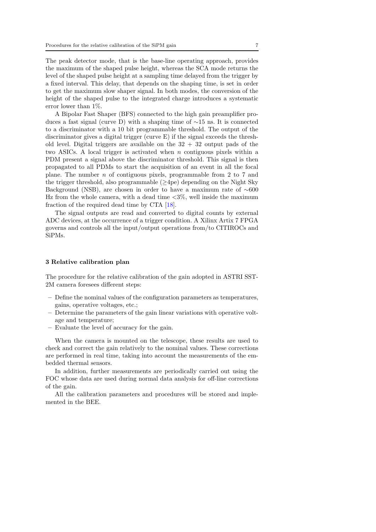The peak detector mode, that is the base-line operating approach, provides the maximum of the shaped pulse height, whereas the SCA mode returns the level of the shaped pulse height at a sampling time delayed from the trigger by a fixed interval. This delay, that depends on the shaping time, is set in order to get the maximum slow shaper signal. In both modes, the conversion of the height of the shaped pulse to the integrated charge introduces a systematic error lower than 1%.

A Bipolar Fast Shaper (BFS) connected to the high gain preamplifier produces a fast signal (curve D) with a shaping time of ∼15 ns. It is connected to a discriminator with a 10 bit programmable threshold. The output of the discriminator gives a digital trigger (curve E) if the signal exceeds the threshold level. Digital triggers are available on the  $32 + 32$  output pads of the two ASICs. A local trigger is activated when  $n$  contiguous pixels within a PDM present a signal above the discriminator threshold. This signal is then propagated to all PDMs to start the acquisition of an event in all the focal plane. The number  $n$  of contiguous pixels, programmable from 2 to 7 and the trigger threshold, also programmable  $(\geq 4$ pe) depending on the Night Sky Background (NSB), are chosen in order to have a maximum rate of ∼600 Hz from the whole camera, with a dead time  $\langle 3\%,$  well inside the maximum fraction of the required dead time by CTA [\[18\]](#page-18-17).

The signal outputs are read and converted to digital counts by external ADC devices, at the occurrence of a trigger condition. A Xilinx Artix 7 FPGA governs and controls all the input/output operations from/to CITIROCs and SiPMs.

#### 3 Relative calibration plan

The procedure for the relative calibration of the gain adopted in ASTRI SST-2M camera foresees different steps:

- Define the nominal values of the configuration parameters as temperatures, gains, operative voltages, etc.;
- Determine the parameters of the gain linear variations with operative voltage and temperature;
- Evaluate the level of accuracy for the gain.

When the camera is mounted on the telescope, these results are used to check and correct the gain relatively to the nominal values. These corrections are performed in real time, taking into account the measurements of the embedded thermal sensors.

In addition, further measurements are periodically carried out using the FOC whose data are used during normal data analysis for off-line corrections of the gain.

All the calibration parameters and procedures will be stored and implemented in the BEE.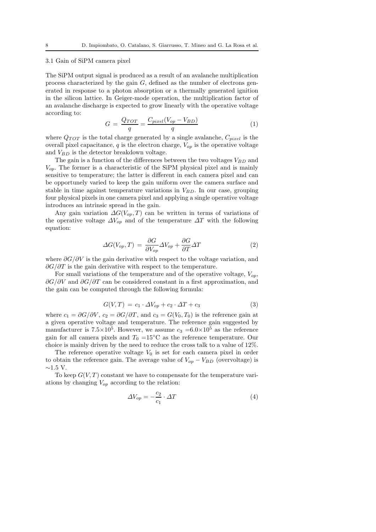#### 3.1 Gain of SiPM camera pixel

The SiPM output signal is produced as a result of an avalanche multiplication process characterized by the gain  $G$ , defined as the number of electrons generated in response to a photon absorption or a thermally generated ignition in the silicon lattice. In Geiger-mode operation, the multiplication factor of an avalanche discharge is expected to grow linearly with the operative voltage according to:

$$
G = \frac{Q_{TOT}}{q} = \frac{C_{pixel}(V_{op} - V_{BD})}{q}
$$
\n(1)

where  $Q_{TOT}$  is the total charge generated by a single avalanche,  $C_{pixel}$  is the overall pixel capacitance, q is the electron charge,  $V_{op}$  is the operative voltage and  $V_{BD}$  is the detector breakdown voltage.

The gain is a function of the differences between the two voltages  $V_{BD}$  and  $V_{op}$ . The former is a characteristic of the SiPM physical pixel and is mainly sensitive to temperature; the latter is different in each camera pixel and can be opportunely varied to keep the gain uniform over the camera surface and stable in time against temperature variations in  $V_{BD}$ . In our case, grouping four physical pixels in one camera pixel and applying a single operative voltage introduces an intrinsic spread in the gain.

Any gain variation  $\Delta G(V_{op},T)$  can be written in terms of variations of the operative voltage  $\Delta V_{op}$  and of the temperature  $\Delta T$  with the following equation:

$$
\Delta G(V_{op}, T) = \frac{\partial G}{\partial V_{op}} \Delta V_{op} + \frac{\partial G}{\partial T} \Delta T \tag{2}
$$

where  $\partial G/\partial V$  is the gain derivative with respect to the voltage variation, and  $\partial G/\partial T$  is the gain derivative with respect to the temperature.

For small variations of the temperature and of the operative voltage,  $V_{on}$ ,  $\partial G/\partial V$  and  $\partial G/\partial T$  can be considered constant in a first approximation, and the gain can be computed through the following formula:

$$
G(V,T) = c_1 \cdot \Delta V_{op} + c_2 \cdot \Delta T + c_3 \tag{3}
$$

where  $c_1 = \partial G/\partial V$ ,  $c_2 = \partial G/\partial T$ , and  $c_3 = G(V_0, T_0)$  is the reference gain at a given operative voltage and temperature. The reference gain suggested by manufacturer is  $7.5 \times 10^5$ . However, we assume  $c_3 = 6.0 \times 10^5$  as the reference gain for all camera pixels and  $T_0 = 15$ °C as the reference temperature. Our choice is mainly driven by the need to reduce the cross talk to a value of 12%.

The reference operative voltage  $V_0$  is set for each camera pixel in order to obtain the reference gain. The average value of  $V_{op} - V_{BD}$  (overvoltage) is  $∼1.5$  V.

To keep  $G(V,T)$  constant we have to compensate for the temperature variations by changing  $V_{op}$  according to the relation:

<span id="page-7-0"></span>
$$
\Delta V_{op} = -\frac{c_2}{c_1} \cdot \Delta T \tag{4}
$$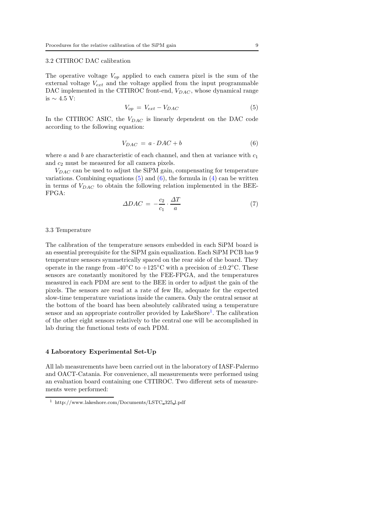# 3.2 CITIROC DAC calibration

The operative voltage  $V_{op}$  applied to each camera pixel is the sum of the external voltage  $V_{ext}$  and the voltage applied from the input programmable DAC implemented in the CITIROC front-end,  $V_{DAC}$ , whose dynamical range is  $\sim$  4.5 V:

<span id="page-8-0"></span>
$$
V_{op} = V_{ext} - V_{DAC} \tag{5}
$$

In the CITIROC ASIC, the  $V_{DAC}$  is linearly dependent on the DAC code according to the following equation:

<span id="page-8-1"></span>
$$
V_{DAC} = a \cdot DAC + b \tag{6}
$$

where  $a$  and  $b$  are characteristic of each channel, and then at variance with  $c_1$ and  $c_2$  must be measured for all camera pixels.

 $V_{DAC}$  can be used to adjust the SiPM gain, compensating for temperature variations. Combining equations  $(5)$  and  $(6)$ , the formula in  $(4)$  can be written in terms of  $V_{DAC}$  to obtain the following relation implemented in the BEE-FPGA:

$$
\Delta DAC = -\frac{c_2}{c_1} \cdot \frac{\Delta T}{a} \tag{7}
$$

#### 3.3 Temperature

The calibration of the temperature sensors embedded in each SiPM board is an essential prerequisite for the SiPM gain equalization. Each SiPM PCB has 9 temperature sensors symmetrically spaced on the rear side of the board. They operate in the range from -40°C to +125°C with a precision of  $\pm 0.2$ °C. These sensors are constantly monitored by the FEE-FPGA, and the temperatures measured in each PDM are sent to the BEE in order to adjust the gain of the pixels. The sensors are read at a rate of few Hz, adequate for the expected slow-time temperature variations inside the camera. Only the central sensor at the bottom of the board has been absolutely calibrated using a temperature sensor and an appropriate controller provided by LakeShore<sup>[1](#page-8-2)</sup>. The calibration of the other eight sensors relatively to the central one will be accomplished in lab during the functional tests of each PDM.

#### 4 Laboratory Experimental Set-Up

All lab measurements have been carried out in the laboratory of IASF-Palermo and OACT-Catania. For convenience, all measurements were performed using an evaluation board containing one CITIROC. Two different sets of measurements were performed:

<span id="page-8-2"></span><sup>1</sup> http://www.lakeshore.com/Documents/LSTC 325 l.pdf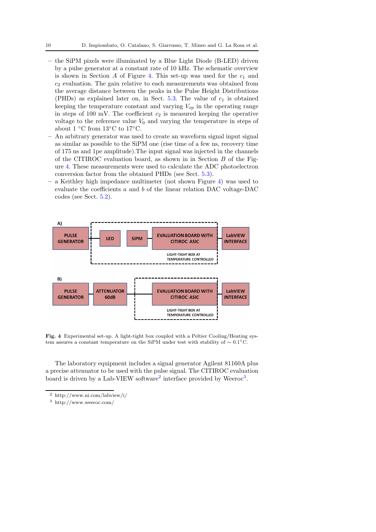- the SiPM pixels were illuminated by a Blue Light Diode (B-LED) driven by a pulse generator at a constant rate of 10 kHz. The schematic overview is shown in Section A of Figure [4.](#page-9-0) This set-up was used for the  $c_1$  and  $c<sub>2</sub>$  evaluation. The gain relative to each measurements was obtained from the average distance between the peaks in the Pulse Height Distributions (PHDs) as explained later on, in Sect.  $5.3$ . The value of  $c_1$  is obtained keeping the temperature constant and varying  $V_{op}$  in the operating range in steps of 100 mV. The coefficient  $c_2$  is measured keeping the operative voltage to the reference value  $V_0$  and varying the temperature in steps of about  $1 °C$  from  $13 °C$  to  $17 °C$ .
- An arbitrary generator was used to create an waveform signal input signal as similar as possible to the SiPM one (rise time of a few ns, recovery time of 175 ns and 1pe amplitude).The input signal was injected in the channels of the CITIROC evaluation board, as shown in in Section B of the Figure [4.](#page-9-0) These measurements were used to calculate the ADC photoelectron conversion factor from the obtained PHDs (see Sect. [5.3\)](#page-12-0).
- a Keithley high impedance multimeter (not shown Figure [4\)](#page-9-0) was used to evaluate the coefficients a and b of the linear relation DAC voltage-DAC codes (see Sect. [5.2\)](#page-11-0).



<span id="page-9-0"></span>Fig. 4 Experimental set-up. A light-tight box coupled with a Peltier Cooling/Heating system assures a constant temperature on the SiPM under test with stability of ∼ 0.1◦C.

The laboratory equipment includes a signal generator Agilent 81160A plus a precise attenuator to be used with the pulse signal. The CITIROC evaluation board is driven by a Lab-VIEW software<sup>[2](#page-9-1)</sup> interface provided by Weeroc<sup>[3](#page-9-2)</sup>.

<span id="page-9-2"></span><span id="page-9-1"></span> $^3$ http://www.weeroc.com/

<sup>2</sup> http://www.ni.com/labview/i/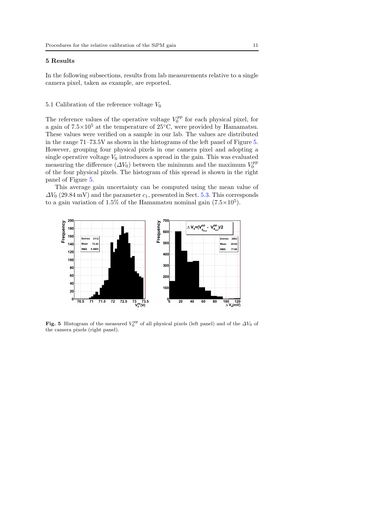## 5 Results

In the following subsections, results from lab measurements relative to a single camera pixel, taken as example, are reported.

## <span id="page-10-1"></span>5.1 Calibration of the reference voltage  $V_0$

The reference values of the operative voltage  $V_0^{pp}$  for each physical pixel, for a gain of  $7.5\times10^5$  at the temperature of  $25^{\circ}\text{C}$ , were provided by Hamamatsu. These values were verified on a sample in our lab. The values are distributed in the range 71–73.5V as shown in the histograms of the left panel of Figure [5.](#page-10-0) However, grouping four physical pixels in one camera pixel and adopting a single operative voltage  $V_0$  introduces a spread in the gain. This was evaluated measuring the difference  $(\Delta V_0)$  between the minimum and the maximum  $V_0^{pp}$ of the four physical pixels. The histogram of this spread is shown in the right panel of Figure [5.](#page-10-0)

This average gain uncertainty can be computed using the mean value of  $\Delta V_0$  (29.84 mV) and the parameter  $c_1$ , presented in Sect. [5.3.](#page-12-0) This corresponds to a gain variation of 1.5% of the Hamamatsu nominal gain  $(7.5 \times 10^5)$ .



<span id="page-10-0"></span>Fig. 5 Histogram of the measured  $V_0^{pp}$  of all physical pixels (left panel) and of the  $\Delta V_0$  of the camera pixels (right panel).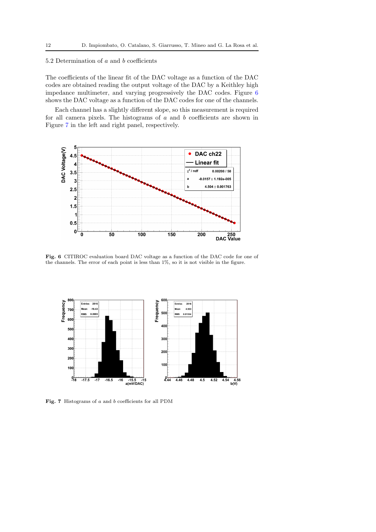# <span id="page-11-0"></span>5.2 Determination of a and b coefficients

The coefficients of the linear fit of the DAC voltage as a function of the DAC codes are obtained reading the output voltage of the DAC by a Keithley high impedance multimeter, and varying progressively the DAC codes. Figure [6](#page-11-1) shows the DAC voltage as a function of the DAC codes for one of the channels.

Each channel has a slightly different slope, so this measurement is required for all camera pixels. The histograms of  $a$  and  $b$  coefficients are shown in Figure [7](#page-11-2) in the left and right panel, respectively.



<span id="page-11-1"></span>Fig. 6 CITIROC evaluation board DAC voltage as a function of the DAC code for one of the channels. The error of each point is less than 1%, so it is not visible in the figure.



<span id="page-11-2"></span>Fig. 7 Histograms of a and b coefficients for all PDM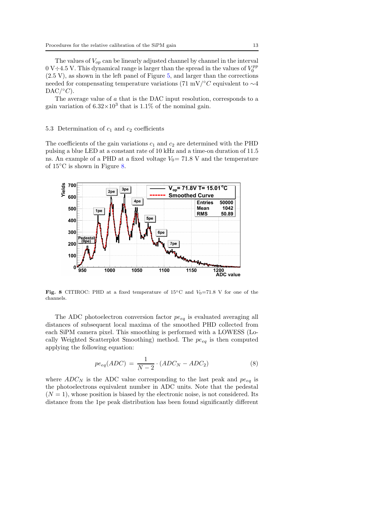The values of  $V_{op}$  can be linearly adjusted channel by channel in the interval 0 V $\div$ 4.5 V. This dynamical range is larger than the spread in the values of  $V_0^{pp}$  $(2.5 V)$ , as shown in the left panel of Figure [5,](#page-10-0) and larger than the corrections needed for compensating temperature variations (71 mV/°C equivalent to  $\sim$ 4  $\text{DAC}/^{\circ}C$ ).

The average value of a that is the DAC input resolution, corresponds to a gain variation of  $6.32 \times 10^3$  that is 1.1% of the nominal gain.

#### <span id="page-12-0"></span>5.3 Determination of  $c_1$  and  $c_2$  coefficients

The coefficients of the gain variations  $c_1$  and  $c_2$  are determined with the PHD pulsing a blue LED at a constant rate of 10 kHz and a time-on duration of 11.5 ns. An example of a PHD at a fixed voltage  $V_0$  = 71.8 V and the temperature of 15◦C is shown in Figure [8.](#page-12-1)



<span id="page-12-1"></span>Fig. 8 CITIROC: PHD at a fixed temperature of  $15°C$  and  $V_0=71.8$  V for one of the channels.

The ADC photoelectron conversion factor  $pe_{eq}$  is evaluated averaging all distances of subsequent local maxima of the smoothed PHD collected from each SiPM camera pixel. This smoothing is performed with a LOWESS (Locally Weighted Scatterplot Smoothing) method. The  $pe_{eq}$  is then computed applying the following equation:

$$
pe_{eq}(ADC) = \frac{1}{N-2} \cdot (ADC_N - ADC_2)
$$
\n(8)

where  $ADC_N$  is the ADC value corresponding to the last peak and  $pe_{eq}$  is the photoelectrons equivalent number in ADC units. Note that the pedestal  $(N = 1)$ , whose position is biased by the electronic noise, is not considered. Its distance from the 1pe peak distribution has been found significantly different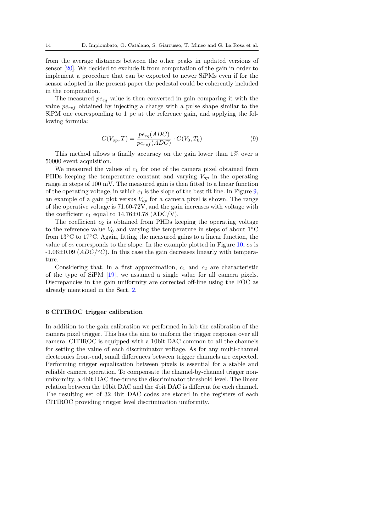from the average distances between the other peaks in updated versions of sensor [\[20\]](#page-18-18). We decided to exclude it from computation of the gain in order to implement a procedure that can be exported to newer SiPMs even if for the sensor adopted in the present paper the pedestal could be coherently included in the computation.

The measured  $pe_{eq}$  value is then converted in gain comparing it with the value  $pe_{ref}$  obtained by injecting a charge with a pulse shape similar to the SiPM one corresponding to 1 pe at the reference gain, and applying the following formula:

$$
G(V_{op},T) = \frac{pe_{eq}(ADC)}{pe_{ref}(ADC)} \cdot G(V_0, T_0)
$$
\n(9)

This method allows a finally accuracy on the gain lower than 1% over a 50000 event acquisition.

We measured the values of  $c_1$  for one of the camera pixel obtained from PHDs keeping the temperature constant and varying  $V_{op}$  in the operating range in steps of 100 mV. The measured gain is then fitted to a linear function of the operating voltage, in which  $c_1$  is the slope of the best fit line. In Figure [9,](#page-14-0) an example of a gain plot versus  $V_{op}$  for a camera pixel is shown. The range of the operative voltage is 71.60-72V, and the gain increases with voltage with the coefficient  $c_1$  equal to 14.76 $\pm$ 0.78 (ADC/V).

The coefficient  $c_2$  is obtained from PHDs keeping the operating voltage to the reference value  $V_0$  and varying the temperature in steps of about  $1°C$ from 13◦C to 17◦C. Again, fitting the measured gains to a linear function, the value of  $c_2$  corresponds to the slope. In the example plotted in Figure [10,](#page-14-1)  $c_2$  is  $-1.06\pm0.09$  ( $ADC$ )<sup>°</sup>C). In this case the gain decreases linearly with temperature.

Considering that, in a first approximation,  $c_1$  and  $c_2$  are characteristic of the type of SiPM [\[19\]](#page-18-19), we assumed a single value for all camera pixels. Discrepancies in the gain uniformity are corrected off-line using the FOC as already mentioned in the Sect. [2.](#page-2-0)

#### 6 CITIROC trigger calibration

In addition to the gain calibration we performed in lab the calibration of the camera pixel trigger. This has the aim to uniform the trigger response over all camera. CITIROC is equipped with a 10bit DAC common to all the channels for setting the value of each discriminator voltage. As for any multi-channel electronics front-end, small differences between trigger channels are expected. Performing trigger equalization between pixels is essential for a stable and reliable camera operation. To compensate the channel-by-channel trigger nonuniformity, a 4bit DAC fine-tunes the discriminator threshold level. The linear relation between the 10bit DAC and the 4bit DAC is different for each channel. The resulting set of 32 4bit DAC codes are stored in the registers of each CITIROC providing trigger level discrimination uniformity.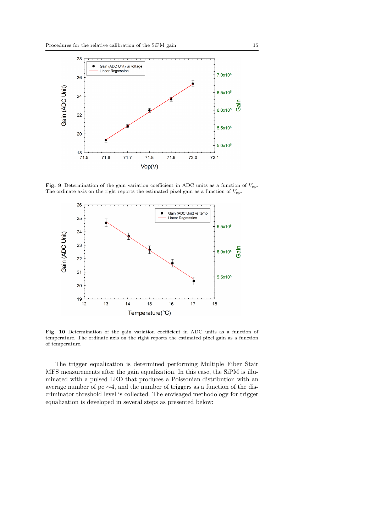

Fig. 9 Determination of the gain variation coefficient in ADC units as a function of  $V_{op}$ . The ordinate axis on the right reports the estimated pixel gain as a function of  $V_{op}$ .

<span id="page-14-0"></span>

<span id="page-14-1"></span>Fig. 10 Determination of the gain variation coefficient in ADC units as a function of temperature. The ordinate axis on the right reports the estimated pixel gain as a function of temperature.

The trigger equalization is determined performing Multiple Fiber Stair MFS measurements after the gain equalization. In this case, the SiPM is illuminated with a pulsed LED that produces a Poissonian distribution with an average number of pe ∼4, and the number of triggers as a function of the discriminator threshold level is collected. The envisaged methodology for trigger equalization is developed in several steps as presented below: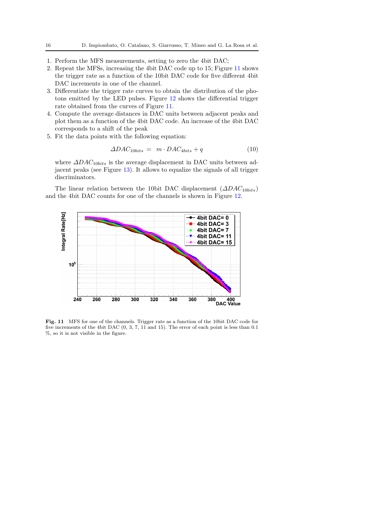- 1. Perform the MFS measurements, setting to zero the 4bit DAC;
- 2. Repeat the MFSs, increasing the 4bit DAC code up to 15; Figure [11](#page-15-0) shows the trigger rate as a function of the 10bit DAC code for five different 4bit DAC increments in one of the channel.
- 3. Differentiate the trigger rate curves to obtain the distribution of the photons emitted by the LED pulses. Figure [12](#page-16-0) shows the differential trigger rate obtained from the curves of Figure [11.](#page-15-0)
- 4. Compute the average distances in DAC units between adjacent peaks and plot them as a function of the 4bit DAC code. An increase of the 4bit DAC corresponds to a shift of the peak
- 5. Fit the data points with the following equation:

$$
\Delta DAC_{10bits} = m \cdot DAC_{4bits} + q \tag{10}
$$

where  $\Delta DAC_{10bits}$  is the average displacement in DAC units between adjacent peaks (see Figure [13\)](#page-16-1). It allows to equalize the signals of all trigger discriminators.

The linear relation between the 10bit DAC displacement  $(\Delta DAC_{10bits})$ and the 4bit DAC counts for one of the channels is shown in Figure [12.](#page-16-0)



<span id="page-15-0"></span>Fig. 11 MFS for one of the channels. Trigger rate as a function of the 10bit DAC code for five increments of the 4bit DAC (0, 3, 7, 11 and 15). The error of each point is less than 0.1 %, so it is not visible in the figure.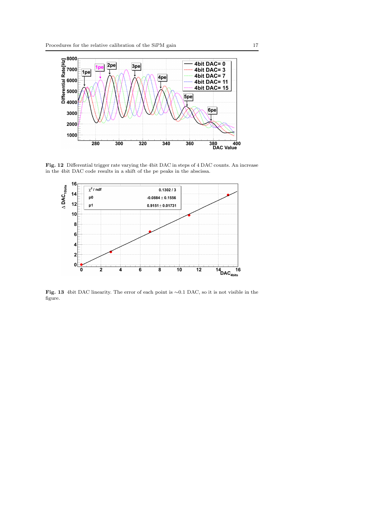

Fig. 12 Differential trigger rate varying the 4bit DAC in steps of 4 DAC counts. An increase in the 4bit DAC code results in a shift of the pe peaks in the abscissa.

<span id="page-16-0"></span>

<span id="page-16-1"></span>Fig. 13 4bit DAC linearity. The error of each point is ∼0.1 DAC, so it is not visible in the figure.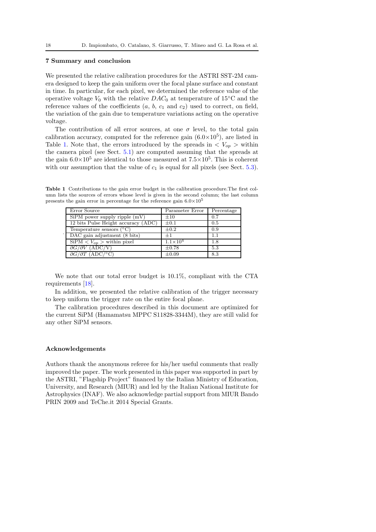# 7 Summary and conclusion

We presented the relative calibration procedures for the ASTRI SST-2M camera designed to keep the gain uniform over the focal plane surface and constant in time. In particular, for each pixel, we determined the reference value of the operative voltage  $V_0$  with the relative  $DAC_0$  at temperature of 15°C and the reference values of the coefficients  $(a, b, c_1 \text{ and } c_2)$  used to correct, on field, the variation of the gain due to temperature variations acting on the operative voltage.

The contribution of all error sources, at one  $\sigma$  level, to the total gain calibration accuracy, computed for the reference gain  $(6.0\times10^5)$ , are listed in Table [1.](#page-17-0) Note that, the errors introduced by the spreads in  $\langle V_{op} \rangle$  within the camera pixel (see Sect. [5.1\)](#page-10-1) are computed assuming that the spreads at the gain  $6.0 \times 10^5$  are identical to those measured at  $7.5 \times 10^5$ . This is coherent with our assumption that the value of  $c_1$  is equal for all pixels (see Sect. [5.3\)](#page-12-0).

Table 1 Contributions to the gain error budget in the calibration procedure.The first column lists the sources of errors whose level is given in the second column; the last column presents the gain error in percentage for the reference gain  $6.0\times10^5$ 

<span id="page-17-0"></span>

| Error Source                        | Parameter Error     | Percentage |
|-------------------------------------|---------------------|------------|
| $SiPM$ power supply ripple $(mV)$   | $\pm 10$            | 0.7        |
| 12 bits Pulse Height accuracy (ADC) | $\pm 0.1$           | 0.5        |
| Temperature sensors $({}^{\circ}C)$ | $\pm 0.2$           | 0.9        |
| DAC gain adjustment (8 bits)        | $+1$                | 1.1        |
| $SiPM < V_{op}$ > within pixel      | $1.1 \times 10^{4}$ | 1.8        |
| $\partial G/\partial V$ (ADC/V)     | $\pm 0.78$          | 5.3        |
| $\partial G/\partial T$ (ADC/°C)    | $\pm 0.09$          | 8.3        |

We note that our total error budget is 10.1%, compliant with the CTA requirements [\[18\]](#page-18-17).

In addition, we presented the relative calibration of the trigger necessary to keep uniform the trigger rate on the entire focal plane.

The calibration procedures described in this document are optimized for the current SiPM (Hamamatsu MPPC S11828-3344M), they are still valid for any other SiPM sensors.

## Acknowledgements

.

Authors thank the anonymous referee for his/her useful comments that really improved the paper. The work presented in this paper was supported in part by the ASTRI, "Flagship Project" financed by the Italian Ministry of Education, University, and Research (MIUR) and led by the Italian National Institute for Astrophysics (INAF). We also acknowledge partial support from MIUR Bando PRIN 2009 and TeChe.it 2014 Special Grants.